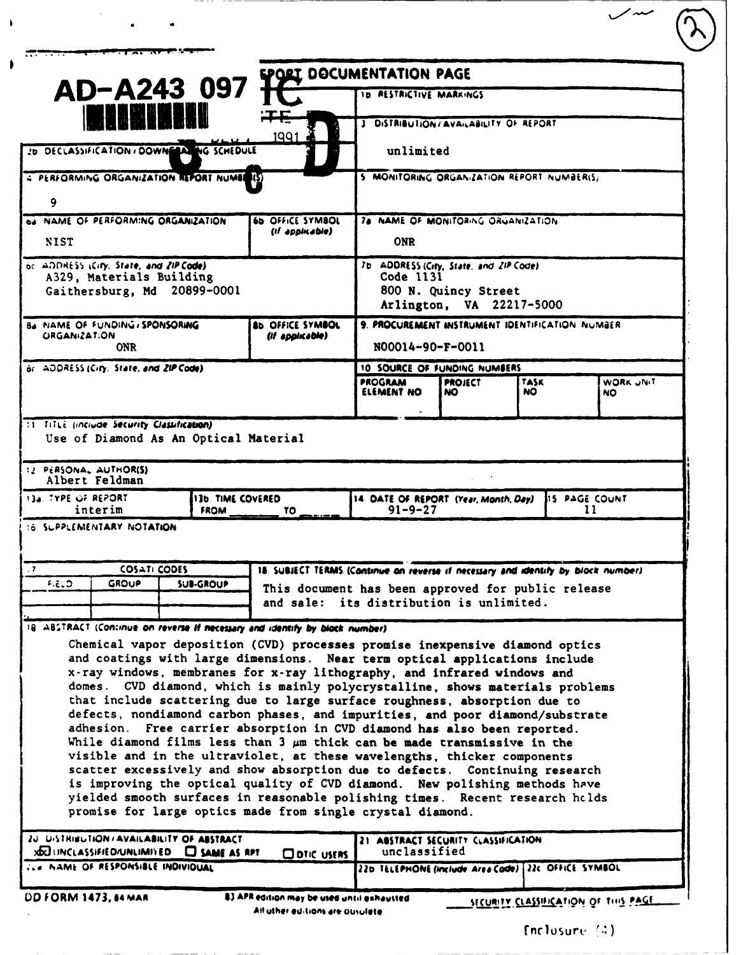|                                                                                                                                                                         |                                         | <b>EPORT DOCUMENTATION PAGE</b>                                                                                                                            |                                                       |                                                  |             |                      |                 |
|-------------------------------------------------------------------------------------------------------------------------------------------------------------------------|-----------------------------------------|------------------------------------------------------------------------------------------------------------------------------------------------------------|-------------------------------------------------------|--------------------------------------------------|-------------|----------------------|-----------------|
| AD-A243 097                                                                                                                                                             |                                         |                                                                                                                                                            | ID RESTRICTIVE MARKINGS                               |                                                  |             |                      |                 |
|                                                                                                                                                                         |                                         | 1991                                                                                                                                                       | 3 DISTRIBUTION/AVAILABILITY OF REPORT                 |                                                  |             |                      |                 |
| 20 DECLASSIFICATION / DOWNERAL NG SCHEDULE                                                                                                                              |                                         |                                                                                                                                                            | unlimited                                             |                                                  |             |                      |                 |
| 4 PERFORMING ORGANIZATION REPORT NUMBER(S)                                                                                                                              |                                         |                                                                                                                                                            | 5 MONITORING ORGANIZATION REPORT NUMBER(S)            |                                                  |             |                      |                 |
| 9                                                                                                                                                                       |                                         |                                                                                                                                                            |                                                       |                                                  |             |                      |                 |
| <b>DA NAME OF PERFORMING ORGANIZATION</b>                                                                                                                               |                                         | 6b OFFICE SYMBOL<br>(If appinable)                                                                                                                         | 78 NAME OF MONITORING ORGANIZATION<br><b>ONR</b>      |                                                  |             |                      |                 |
| <b>NIST</b><br>or ADDRESS (City, State, and ZIP Code).                                                                                                                  |                                         |                                                                                                                                                            | 7b ADDRESS (City, State, and ZIP Code)                |                                                  |             |                      |                 |
| A329, Materials Building                                                                                                                                                |                                         |                                                                                                                                                            | Code 1131                                             |                                                  |             |                      |                 |
| Gaithersburg, Md 20899-0001                                                                                                                                             |                                         |                                                                                                                                                            |                                                       | 800 N. Quincy Street<br>Arlington, VA 22217-5000 |             |                      |                 |
| B4 NAME OF FUNDING, SPONSORING<br><b>ORGANIZATION</b>                                                                                                                   |                                         | AD. OFFICE SYMBOL<br>(if appirable)                                                                                                                        | 9. PROCUREMENT INSTRUMENT IDENTIFICATION NUMBER       |                                                  |             |                      |                 |
| <b>ONR</b>                                                                                                                                                              |                                         |                                                                                                                                                            | N00014-90-F-0011                                      |                                                  |             |                      |                 |
| ac ADDRESS (City, State, and ZIP Code)                                                                                                                                  |                                         |                                                                                                                                                            | 10 SOURCE OF FUNDING NUMBERS                          |                                                  |             |                      |                 |
|                                                                                                                                                                         |                                         |                                                                                                                                                            | PROGRAM<br>ELEMENT NO                                 | <b>PROJECT</b><br>NO.                            | TASK<br>NO. |                      | WORK JNIT<br>NO |
|                                                                                                                                                                         |                                         |                                                                                                                                                            |                                                       |                                                  |             |                      |                 |
| :1 TitLi (include Security Classification)<br>Use of Diamond As An Optical Material<br>12 PERSONAL AUTHOR(S)<br>Albert Feldman<br><b>13a. TYPE OF REPORT</b><br>interim | <b>13b. TIME COVERED</b><br><b>FROM</b> | TO.                                                                                                                                                        | 14 DATE OF REPORT (Year, Month, Day)<br>$91 - 9 - 27$ |                                                  |             | <b>IS PAGE COUNT</b> | 11              |
| 16 SUPPLEMENTARY NOTATION                                                                                                                                               |                                         |                                                                                                                                                            |                                                       |                                                  |             |                      |                 |
| <b>COSATI CODES</b>                                                                                                                                                     |                                         | 18. SUBJECT TERMS (Continue on reverse if necessary and identify by block number).                                                                         |                                                       |                                                  |             |                      |                 |
| <b>GROUP</b>                                                                                                                                                            | <b>SUB-GROUP</b>                        | This document has been approved for public release                                                                                                         |                                                       |                                                  |             |                      |                 |
| <b>F.ELD</b>                                                                                                                                                            |                                         | and sale: its distribution is unlimited.                                                                                                                   |                                                       |                                                  |             |                      |                 |
|                                                                                                                                                                         |                                         |                                                                                                                                                            |                                                       |                                                  |             |                      |                 |
|                                                                                                                                                                         |                                         | Chemical vapor deposition (CVD) processes promise inexpensive diamond optics<br>and coatings with large dimensions. Near term optical applications include |                                                       |                                                  |             |                      |                 |
|                                                                                                                                                                         |                                         | x-ray windows, membranes for x-ray lithography, and infrared windows and                                                                                   |                                                       |                                                  |             |                      |                 |
|                                                                                                                                                                         |                                         | domes. CVD diamond, which is mainly polycrystalline, shows materials problems<br>that include scattering due to large surface roughness, absorption due to |                                                       |                                                  |             |                      |                 |
|                                                                                                                                                                         |                                         | defects, nondiamond carbon phases, and impurities, and poor diamond/substrate                                                                              |                                                       |                                                  |             |                      |                 |
|                                                                                                                                                                         |                                         | adhesion. Free carrier absorption in CVD diamond has also been reported.<br>While diamond films less than 3 $\mu$ m thick can be made transmissive in the  |                                                       |                                                  |             |                      |                 |
| 18 ABSTRACT (Continue on reverse if necessary and identify by block number)                                                                                             |                                         | visible and in the ultraviolet, at these wavelengths, thicker components                                                                                   |                                                       |                                                  |             |                      |                 |
|                                                                                                                                                                         |                                         | scatter excessively and show absorption due to defects. Continuing research<br>is improving the optical quality of CVD diamond. New polishing methods have |                                                       |                                                  |             |                      |                 |
|                                                                                                                                                                         |                                         | yielded smooth surfaces in reasonable polishing times. Recent research holds<br>promise for large optics made from single crystal diamond.                 |                                                       |                                                  |             |                      |                 |
| 20 UISTRINGTION/AVAILABILITY OF ABSTRACT<br><b>XIXI UNCLASSIFIED/UNLIMITED</b>                                                                                          | $\Box$ SAME AS RPT                      | $\Box$ DTIC USERS                                                                                                                                          | 21 ABSTRACT SECURITY CLASSIFICATION<br>unclassified   |                                                  |             |                      |                 |

\_\_\_\_\_\_\_\_\_

 $\sim$ 

 $\mathbf{I}$ 

 $\ddot{\phantom{1}}$ 

Enclosure  $(4)$ 

 $\sqrt{M}$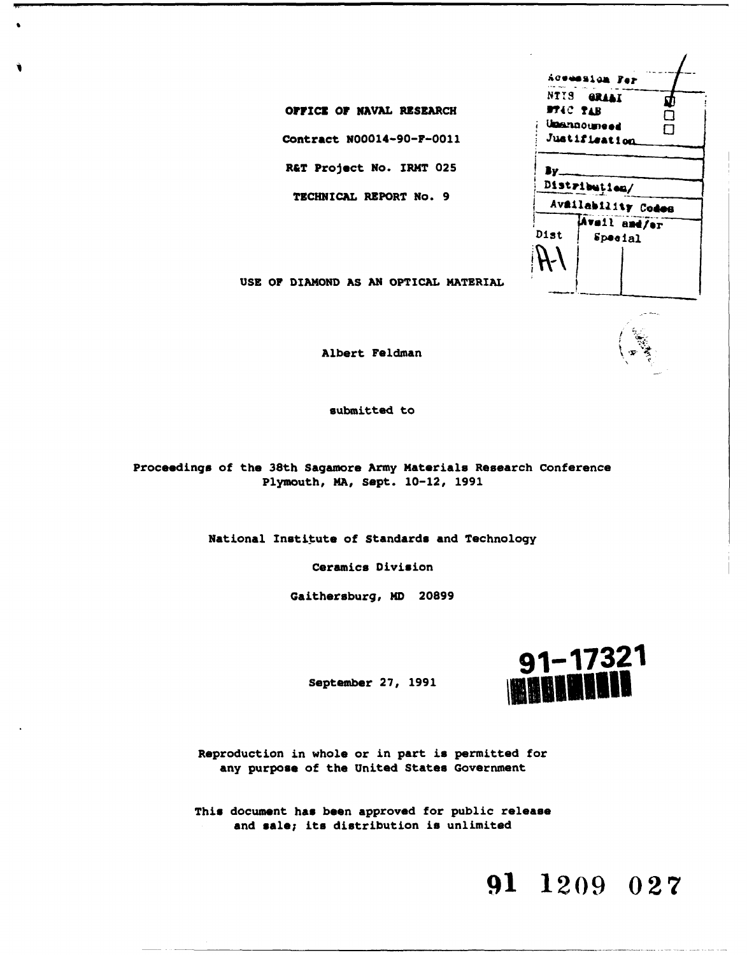|                | Acemasion Fer      |     |
|----------------|--------------------|-----|
|                | NTIS GRAAI         | ٦,  |
| <b>MIG TIB</b> |                    | ٦   |
|                | Umannoumeed        | - 1 |
|                | Justifisation      |     |
|                |                    |     |
|                |                    |     |
|                | Distribution/      |     |
|                | Availability Codes |     |
|                | Avsil and/or       |     |
| <b>Dist</b>    | Special            |     |
|                |                    |     |
|                |                    |     |
|                |                    |     |
|                |                    |     |

**USE** OF **DIAMOND AS AN OPTICAL** MATERIAL

**OFFICE OF NAVAL RESEARCH** 

Contract N00014-90-F-0011

**R&T Project No. IRMT 025** 

**TECHNICAL** REPORT **No. 9**

Albert Feldman

submitted to

Proceedings of the 38th Sagamore **Army** Materials Research Conference Plymouth, **MA,** Sept. 10-12, **1991**

National Institute of Standards and Technology

Ceramics Division

Gaithersburg, MD **20899**



Reproduction in whole or in part is permitted for any purpose of the United States Government

This document has been approved for public release and **sale;** its distribution is unlimited

# **91 1209 027**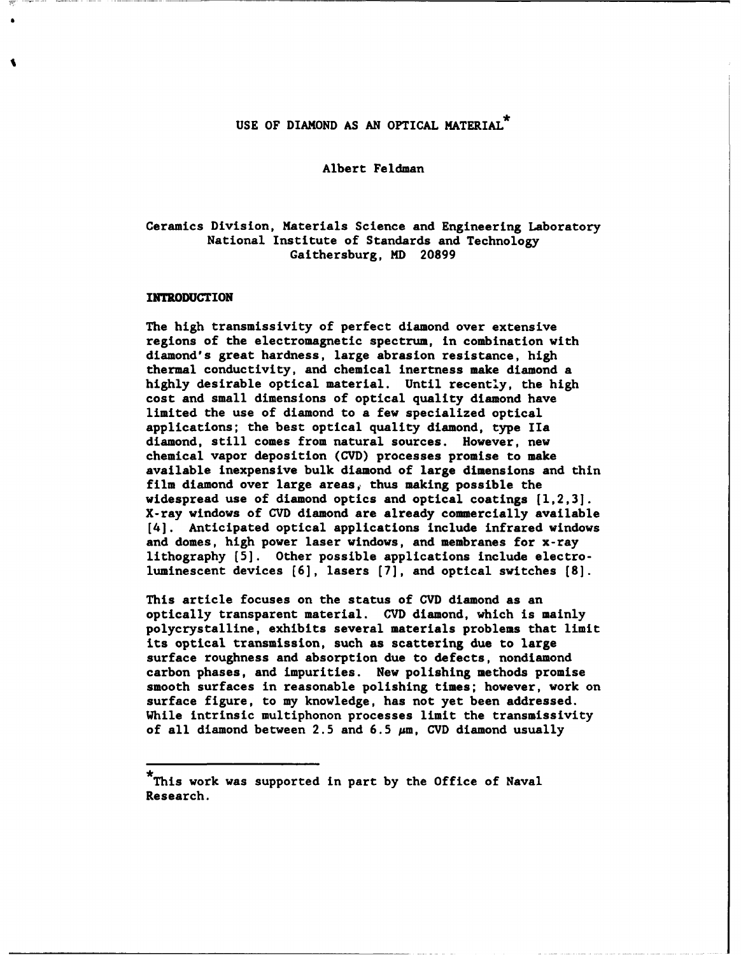## USE OF DIAMOND AS AN OPTICAL MATERIAL.

#### Albert Feldman

### Ceramics Division, Materials Science and Engineering Laboratory National Institute of Standards and Technology Gaithersburg, MD **20899**

#### INTRODUCTION

The high transmissivity of perfect diamond over extensive regions of the electromagnetic spectrum, in combination with diamond's great hardness, large abrasion resistance, high thermal conductivity, and chemical inertness make diamond a **highly** desirable optical material. Until recently, the high cost and small dimensions of optical quality diamond have limited the use of diamond to a few specialized optical applications; the best optical quality diamond, type **IIa** diamond, still comes from natural sources. However, new chemical vapor deposition **(CVD)** processes promise to make available inexpensive bulk diamond of large dimensions and thin film diamond over large areas, thus making possible the widespread use of diamond optics and optical coatings **[1,2,3].** X-ray windows of **CVD** diamond are already commercially available [4]. Anticipated optical applications include infrared windows and domes, high power laser windows, and membranes for x-ray lithography **(5].** Other possible applications include electroluminescent devices **(6],** lasers **(7],** and optical switches **(8].**

This article focuses on the status of **CVD** diamond as an optically transparent material. **CVD** diamond, which is mainly polycrystalline, exhibits several materials problems that limit its optical transmission, such as scattering due to large surface roughness and absorption due to defects, nondiamond carbon phases, and impurities. New polishing methods promise smooth surfaces in reasonable polishing times; however, work on surface figure, to my knowledge, has not yet been addressed. While intrinsic multiphonon processes limit the transmissivity of all diamond between **2.5** and **6.5** pm, **CVD** diamond usually

**<sup>\*</sup>** This work was supported in part by the Office of Naval Research.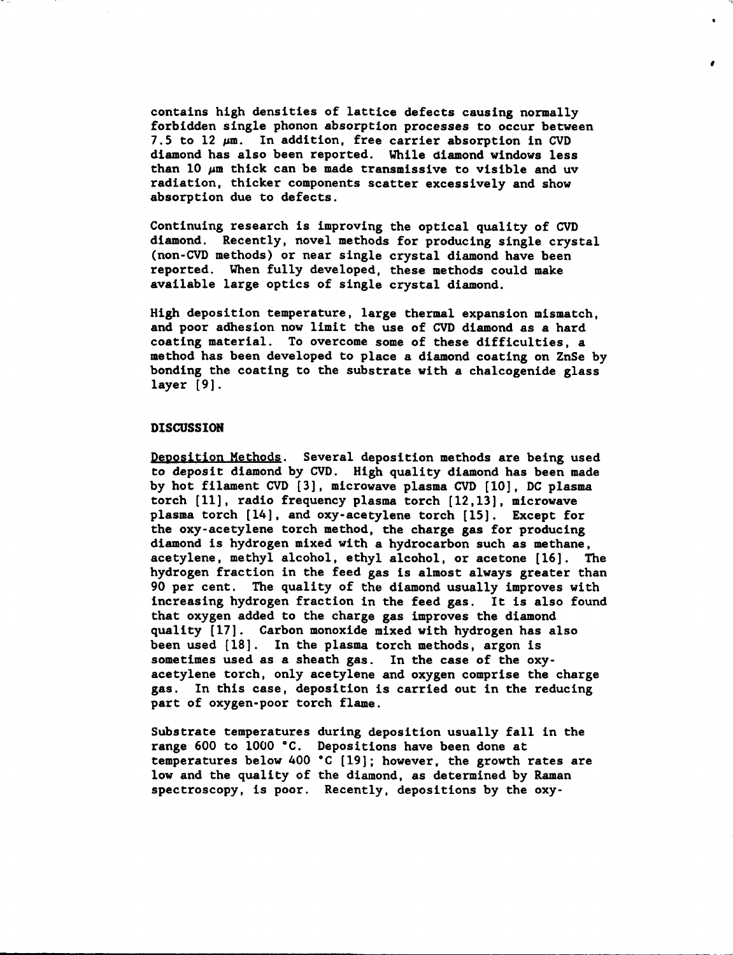contains high densities of lattice defects causing normally forbidden single phonon absorption processes to occur between **7.5** to 12 pm. In addition, free carrier absorption in **CVD** diamond has also been reported. While diamond windows less than **10** pm thick can be made transmissive to visible and uv radiation, thicker components scatter excessively and show absorption due to defects.

 $\bullet$ 

Continuing research is improving the optical quality of **CVD** diamond. Recently, novel methods for producing single crystal (non-CVD methods) or near single crystal diamond have been reported. When fully developed, these methods could make available large optics of single crystal diamond.

High deposition temperature, large thermal expansion mismatch, and poor adhesion now limit the use of **CVD** diamond as a hard coating material. To overcome some of these difficulties, a method has been developed to place a diamond coating on ZnSe **by** bonding the coating to the substrate with a chalcogenide glass layer **[9].**

#### **DISCUSSION**

Deposition Methods. Several deposition methods are being used to deposit diamond by **CVD.** High quality diamond has been made **by** hot filament **CVD [3],** microwave plasma **CVD [10], DC** plasma torch **[11],** radio frequency plasma torch **[12,13],** microwave plasma torch [14], and oxy-acetylene torch **[15].** Except for the oxy-acetylene torch method, the charge gas for producing diamond is hydrogen mixed with a hydrocarbon such as methane, acetylene, methyl alcohol, ethyl alcohol, or acetone **[16].** The hydrogen fraction in the feed gas is almost always greater than **90** per cent. The quality of the diamond usually improves with increasing hydrogen fraction in the feed gas. It is also found that oxygen added to the charge gas improves the diamond quality [17]. Carbon monoxide mixed with hydrogen has also been used **[18].** In the plasma torch methods, argon is sometimes used as a sheath gas. In the case of the oxyacetylene torch, only acetylene and oxygen comprise the charge gas. In this case, deposition is carried out in the reducing part of oxygen-poor torch flame.

Substrate temperatures during deposition usually fall in the range **600** to **1000 \*C.** Depositions have been done at temperatures below 400 **°C [19];** however, the growth rates are low and the quality of the diamond, as determined **by** Raman spectroscopy, is poor. Recently, depositions **by** the oxy-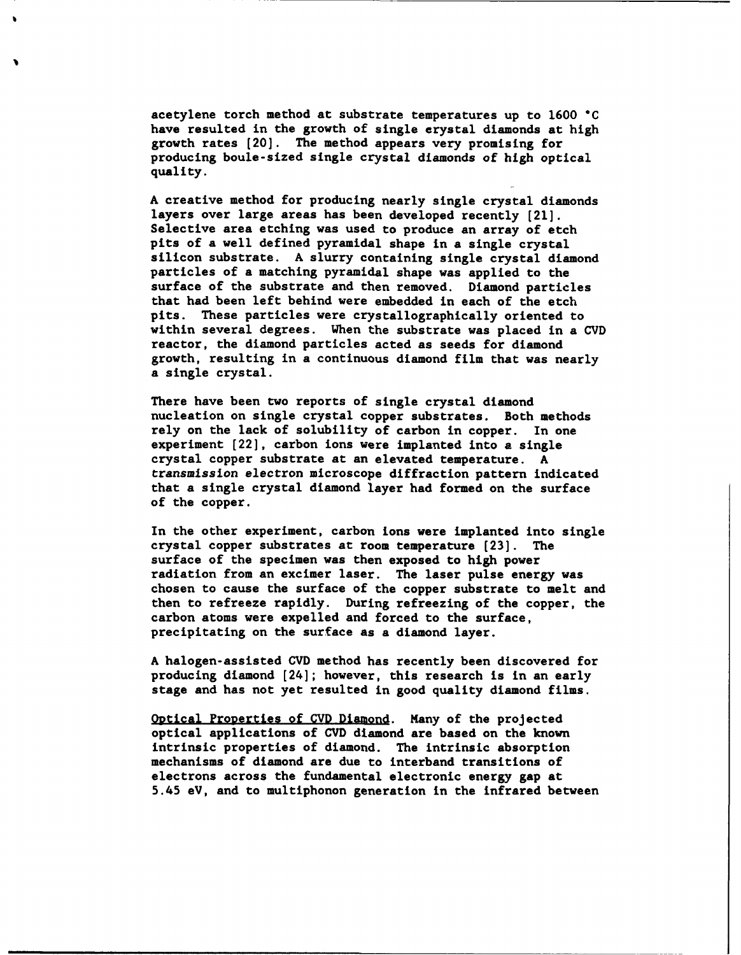acetylene torch method at substrate temperatures up to **1600 "C** have resulted in the growth of single erystal diamonds at high growth rates [20]. The method appears very promising for producing boule-sized single crystal diamonds of high optical quality.

**A** creative method for producing nearly single crystal diamonds layers over large areas has been developed recently [21]. Selective area etching was used to produce an array of etch pits of a well defined pyramidal shape in a single crystal silicon substrate. **A** slurry containing single crystal diamond particles of a matching pyramidal shape was applied to the surface of the substrate and then removed. Diamond particles that had been left behind were embedded in each of the etch pits. These particles were crystallographically oriented to within several degrees. When the substrate was placed in a **CVD** reactor, the diamond particles acted as seeds for diamond growth, resulting in a continuous diamond film that was nearly a single crystal.

There have been two reports of single crystal diamond nucleation on single crystal copper substrates. Both methods rely on the lack of solubility of carbon in copper. In one experiment [22], carbon ions were implanted into a single crystal copper substrate at an elevated temperature. **A** transmission electron microscope diffraction pattern indicated that a single crystal diamond layer had formed on the surface of the copper.

In the other experiment, carbon ions were implanted into single crystal copper substrates at room temperature **[23].** The surface of the specimen was then exposed to high power radiation from an excimer laser. The laser pulse energy was chosen to cause the surface of the copper substrate to melt and then to refreeze rapidly. During refreezing of the copper, the carbon atoms were expelled and forced to the surface, precipitating on the surface as a diamond layer.

**A** halogen-assisted **CVD** method has recently been discovered for producing diamond [24]; however, this research is in an early stage and has not yet resulted in good quality diamond films.

Optical Properties of **CVD** Diamond. Many of the projected optical applications of **CVD** diamond are based on the known intrinsic properties of diamond. The intrinsic absorption mechanisms of diamond are due to interband transitions of electrons across the fundamental electronic energy gap at 5.45 eV, and to multiphonon generation in the infrared between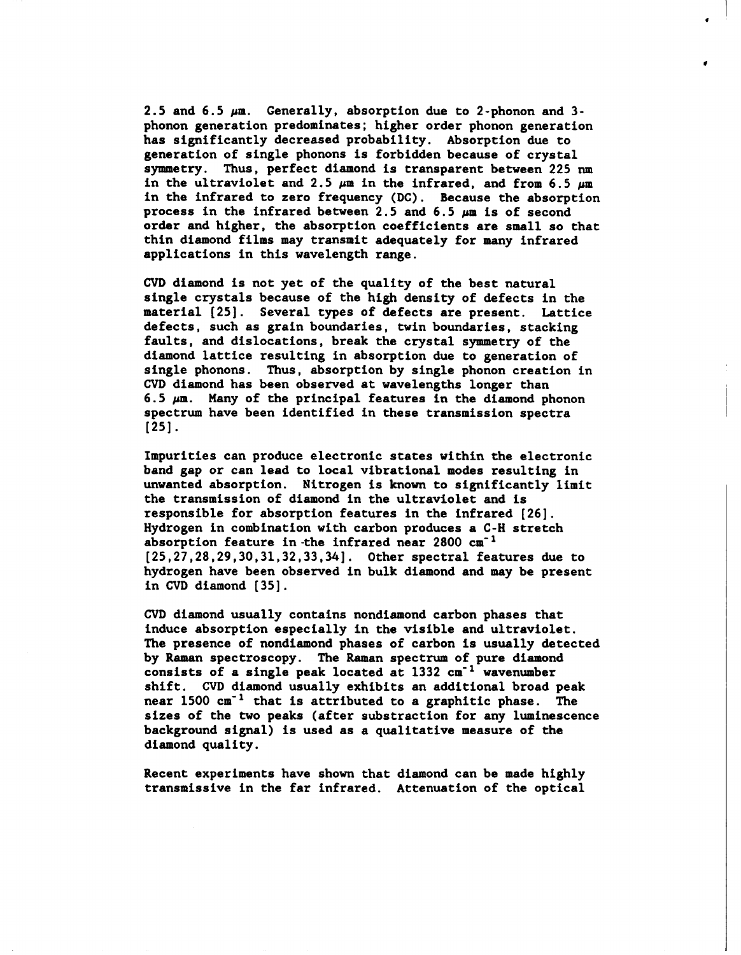**2.5** and **6.5** pm. Generally, absorption due to 2-phonon and 3 phonon generation predominates; higher order phonon generation has significantly decreased probability. Absorption due to generation of single phonons is forbidden because of crystal symmetry. Thus, perfect diamond is transparent between **225 run** in the ultraviolet and  $2.5 \mu m$  in the infrared, and from  $6.5 \mu m$ in the infrared to zero frequency **(DC).** Because the absorption process in the infrared between **2.5** and **6.5** pm is of second order and higher, the absorption coefficients are small so that thin diamond films may transmit adequately for many infrared applications in this wavelength range.

**CVD** diamond is not yet of the quality of the best natural single crystals because of the high density of defects in the material **(25].** Several types of defects are present. Lattice defects, such as grain boundaries, twin boundaries, stacking faults, and dislocations, break the crystal symmetry of the diamond lattice resulting in absorption due to generation of single phonons. Thus, absorption **by** single phonon creation in **CVD** diamond has been observed at wavelengths longer than **6.5** pm. Many of the principal features in the diamond phonon spectrum have been identified in these transmission spectra **[25].**

Impurities can produce electronic states within the electronic band gap or can lead to local vibrational modes resulting in unwanted absorption. Nitrogen is known to significantly limit the transmission of diamond in the ultraviolet and is responsible for absorption features in the infrared **[26].** Hydrogen in combination with carbon produces a **C-H** stretch absorption feature in-the infrared near 2800 cm<sup>-1</sup> **[25,27,28,29,30,31,32,33,34].** Other spectral features due to hydrogen have been observed in bulk diamond and may be present in **CVD** diamond **[35].**

**CVD** diamond usually contains nondiamond carbon phases that induce absorption especially in the visible and ultraviolet. The presence of nondiamond phases of carbon is usually detected **by** Raman spectroscopy. The Raman spectrum of pure diamond consists of a single peak located at 1332 cm<sup>-1</sup> wavenumber shift. **CVD** diamond usually exhibits an additional broad peak near **1500** cm"1 that is attributed to a graphitic phase. The sizes of the two peaks (after substraction for any luminescence background signal) is used as a qualitative measure of the diamond quality.

Recent experiments have shown that diamond can be made **highly** transmissive in the far infrared. Attenuation of the optical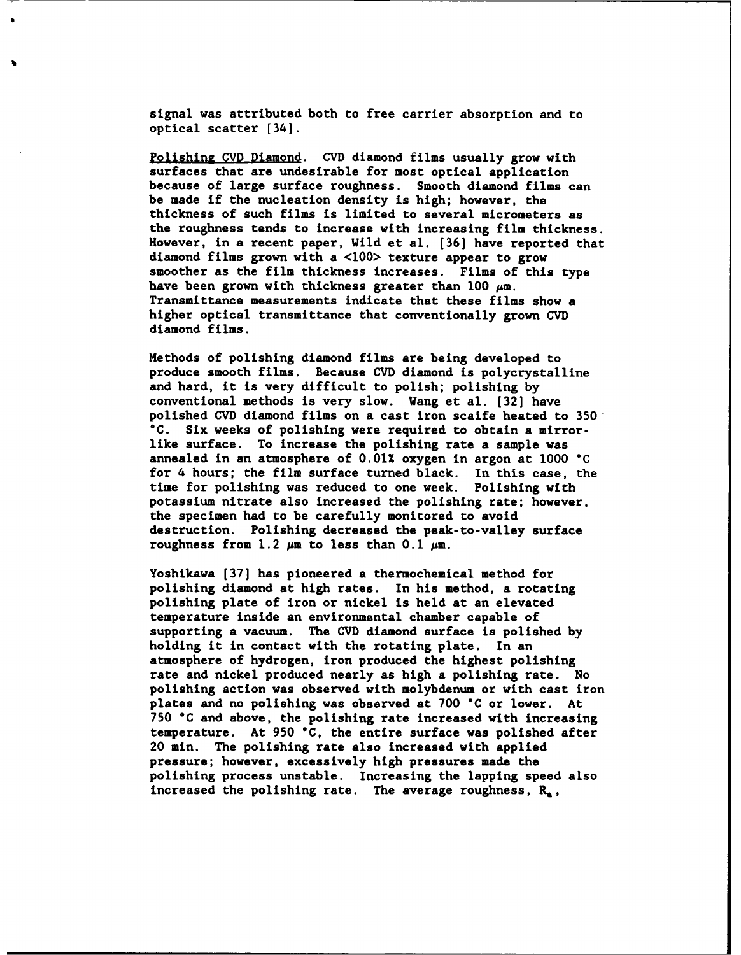signal was attributed both to free carrier absorption and to optical scatter [34].

Polishing **CVD** Diamond. **CVD** diamond films usually grow with surfaces that are undesirable for most optical application because of large surface roughness. Smooth diamond films can be made if the nucleation density is high; however, the thickness of such films is limited to several micrometers as the roughness tends to increase with increasing film thickness. However, in a recent paper, Wild et al. **[36]** have reported that diamond films grown with a **<100>** texture appear to grow smoother as the film thickness increases. Films of this type have been grown with thickness greater than 100  $\mu$ m. Transmittance measurements indicate that these films show a higher optical transmittance that conventionally grown **CVD** diamond films.

Methods of polishing diamond films are being developed to produce smooth films. Because **CVD** diamond is polycrystalline and hard, it is very difficult to polish; polishing **by** conventional methods is very slow. Wang et al. **[32]** have polished **CVD** diamond films on a cast iron scaife heated to **350 \*C.** Six weeks of polishing were required to obtain a mirrorlike surface. To increase the polishing rate a sample was annealed in an atmosphere of **0.01%** oxygen in argon at **1000 °C** for 4 hours; the film surface turned black. In this case, the time for polishing was reduced to one week. Polishing with potassium nitrate also increased the polishing rate; however, the specimen had to be carefully monitored to avoid destruction. Polishing decreased the peak-to-valley surface roughness from  $1.2 \mu m$  to less than  $0.1 \mu m$ .

Yoshikawa **[37]** has pioneered a thermochemical method for polishing diamond at high rates. In his method, a rotating polishing plate of iron or nickel is held at an elevated temperature inside an environmental chamber capable of supporting a vacuum. The **CVD** diamond surface is polished **by** holding it in contact with the rotating plate. In an atmosphere of hydrogen, iron produced the highest polishing rate and nickel produced nearly as high a polishing rate. No polishing action was observed with molybdenum or with cast iron plates and no polishing was observed at **700 \*C** or lower. At **750 °C** and above, the polishing rate increased with increasing temperature. At **950 "C,** the entire surface was polished after 20 min. The polishing rate also increased with applied pressure; however, excessively high pressures made the polishing process unstable. Increasing the lapping speed also increased the polishing rate. The average roughness, **Ra,**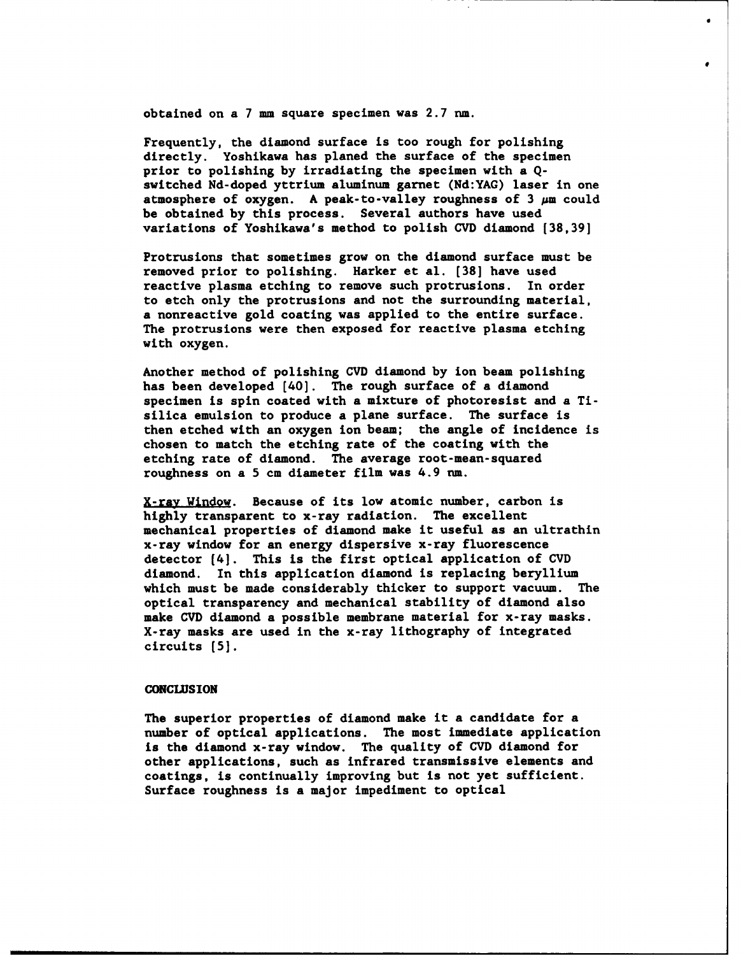obtained on a **7 mm** square specimen was **2.7** nm.

Frequently, the diamond surface is too rough for polishing directly. Yoshikawa has planed the surface of the specimen prior to polishing **by** irradiating the specimen with a **Q**switched Nd-doped yttrium aluminum garnet **(Nd:YAG)** laser in one atmosphere of oxygen. **A** peak-to-valley roughness of **3** pm could be obtained **by** this process. Several authors have used variations of Yoshikawa's method to polish **CVD** diamond **[38,39]**

Protrusions that sometimes grow on the diamond surface must be removed prior to polishing. Harker et al. **[38]** have used reactive plasma etching to remove such protrusions. In order to etch only the protrusions and not the surrounding material, a nonreactive gold coating was applied to the entire surface. The protrusions were then exposed for reactive plasma etching with oxygen.

Another method of polishing **CVD** diamond **by** ion beam polishing has been developed [40]. The rough surface of a diamond specimen is spin coated with a mixture of photoresist and a Tisilica emulsion to produce a plane surface. The surface is then etched with an oxygen ion beam; the angle of incidence is chosen to match the etching rate of the coating with the etching rate of diamond. The average root-mean-squared roughness on a **5** cm diameter film was 4.9 nm.

X-ray Window. Because of its low atomic number, carbon is **highly** transparent to x-ray radiation. The excellent mechanical properties of diamond make it useful as an ultrathin x-ray window for an energy dispersive x-ray fluorescence detector (4]. This is the first optical application of **CVD** diamond. In this application diamond is replacing beryllium which must be made considerably thicker to support vacuum. The optical transparency and mechanical stability of diamond also make **CVD** diamond a possible membrane material for x-ray masks. X-ray masks are used in the x-ray lithography of integrated circuits **(5].**

#### **CONCLUSION**

The superior properties of diamond make it a candidate for a number of optical applications. The most immediate application is the diamond x-ray window. The quality of **CVD** diamond for other applications, such as infrared transmissive elements and coatings, is continually improving but is not yet sufficient. Surface roughness is a major impediment to optical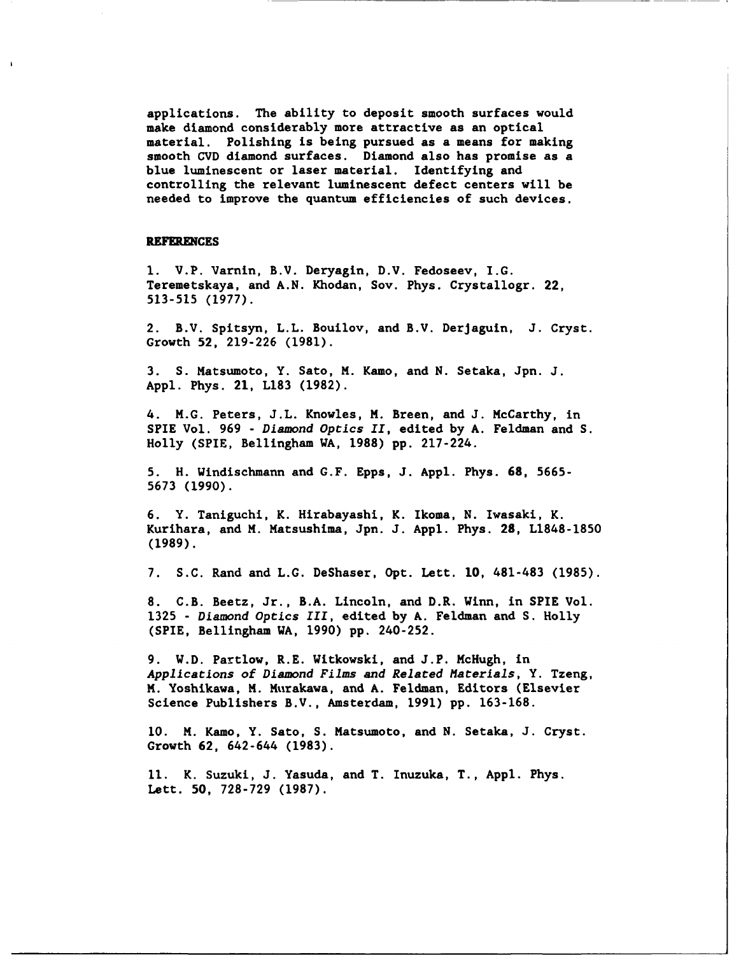applications. The ability to deposit smooth surfaces would make diamond considerably more attractive as an optical material. Polishing is being pursued as a means for making smooth **CVD** diamond surfaces. Diamond also has promise as a blue luminescent or laser material. Identifying and controlling the relevant luminescent defect centers will be needed to improve the quantum efficiencies of such devices.

#### REFERENCES

**1.** V.P. Varnin, B.V. Deryagin, D.V. Fedoseev, I.G. Teremetskaya, and **A.N.** Khodan, Soy. Phys. Crystallogr. 22, **513-515** (1977).

2. B.V. Spitsyn, L.L. Bouilov, and B.V. DerJaguin, **J.** Cryst. Growth **52, 219-226 (1981).**

**3. S.** Matsumoto, Y. Sato, **M.** Kamo, and **N.** Setaka, Jpn. **J. Appl.** Phys. 21, **L183 (1982).**

4. **M.G.** Peters, **J.L.** Knowles, **M.** Breen, and **J.** McCarthy, in SPIE Vol. **969 -** Diamond Optics II, edited **by A.** Feldman and **S.** Holly (SPIE, Bellingham WA, **1988) pp.** 217-224.

**5.** H. Windischmann and **G.F.** Epps, **J. Appl.** Phys. **68, 5665- 5673 (1990).**

**6.** Y. Taniguchi, K. Hirabayashi, K. Ikoma, **N.** Iwasaki, K. Kurihara, and **M.** Matsushima, Jpn. **J. Appl.** Phys. 28, **L1848-1850 (1989).**

**7. S.C.** Rand and **L.G.** DeShaser, Opt. Lett. **10,** 481-483 **(1985).**

**8.** C.B. Beetz, Jr., B.A. Lincoln, and D.R. Winn, in SPIE Vol. **1325 -** Diamond Optics **III,** edited **by A.** Feldman and **S.** Holly (SPIE, Bellingham WA, **1990) pp.** 240-252.

**9.** W.D. Partlow, R.E. Witkowski, and **J.P.** McHugh, in Applications of Diamond Films and Related Materials, Y. Tzeng, **M.** Yoshikawa, **M.** Murakawa, and **A.** Feldman, Editors (Elsevier Science Publishers B.V., Amsterdam, **1991) pp. 163-168.**

**10. M.** Kamo, Y. Sato, **S.** Matsumoto, and **N.** Setaka, **J.** Cryst. Growth **62,** 642-644 **(1983).**

**11.** K. Suzuki, **J.** Yasuda, and T. Inuzuka, T., **Appl.** Phys. Lett. **50, 728-729 (1987).**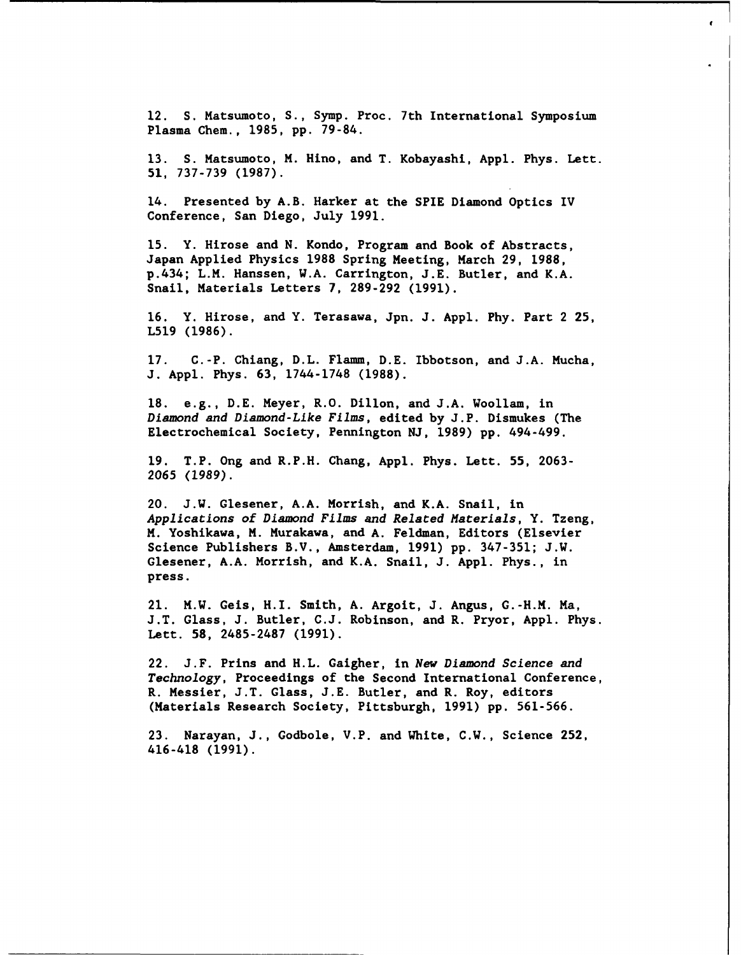12. **S.** Matsumoto, **S.,** Symp. Proc. 7th International Symposium Plasma Chem., 1985, pp. 79-84.

ł

13. S. Matsumoto, M. Hino, and T. Kobayashi, Appl. Phys. Lett. 51, 737-739 (1987).

14. Presented by A.B. Harker at the SPIE Diamond Optics IV Conference, San Diego, July 1991.

15. Y. Hirose and N. Kondo, Program and Book of Abstracts, Japan Applied Physics **1988** Spring Meeting, March 29, 1988, p.434; L.M. Hanssen, W.A. Carrington, J.E. Butler, and K.A. Snail, Materials Letters 7, 289-292 (1991).

16. Y. Hirose, and Y. Terasawa, Jpn. J. Appl. Phy. Part 2 **25,** L519 (1986).

17. C.-P. Chiang, D.L. Flamm, D.E. Ibbotson, and J.A. Mucha, **J.** Appl. Phys. 63, 1744-1748 (1988).

**18.** e.g., D.E. Meyer, R.O. Dillon, and J.A. Woollam, in Diamond and Diamond-Like Films, edited **by J.P.** Dismukes (The Electrochemical Society, Pennington **NJ, 1989) pp.** 494-499.

**19.** T.P. Ong and R.P.H. Chang, **Appl.** Phys. Lett. **55, 2063- 2065 (1989).**

20. **J.W.** Glesener, **A.A.** Morrish, and K.A. Snail, in Applications of Diamond Films and Related Materials, Y. Tzeng, **M.** Yoshikawa, M. Murakawa, and **A.** Feldman, Editors (Elsevier Science Publishers B.V., Amsterdam, **1991) pp. 347-351; J.W.** Glesener, **A.A.** Morrish, and K.A. Snail, **J. Appl.** Phys., in press.

21. M.W. Geis, H.I. Smith, **A.** Argoit, **J.** Angus, G.-H.M. Ma, **J.T.** Glass, **J.** Butler, **C.J.** Robinson, and R. Pryor, **Appl.** Phys. Lett. **58, 2485-2487 (1991).**

22. **J.F.** Prins and H.L. Gaigher, in **New** Diamond Science and Technology, Proceedings of the Second International Conference, R. Messier, **J.T.** Glass, **J.E.** Butler, and R. Roy, editors (Materials Research Society, Pittsburgh, **1991) pp. 561-566.**

**23.** Narayan, **J.,** Godbole, V.P. and White, C.W., Science **252,** 416-418 **(1991).**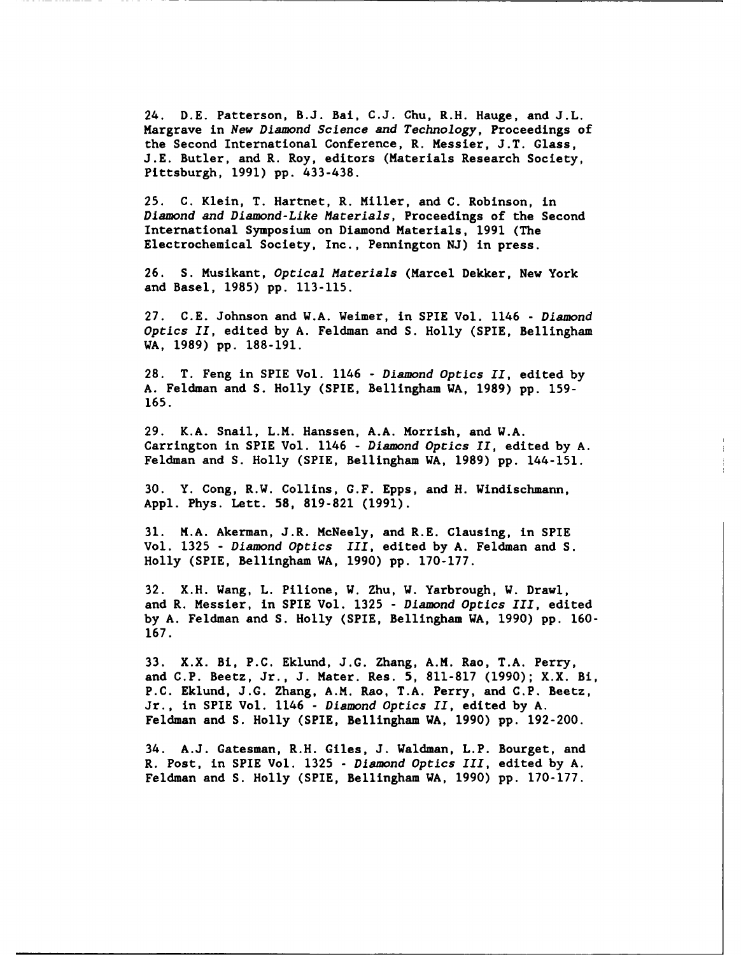24. **D.E.** Patterson, **B.J.** Bai, **C.J.** Chu, R.H. Hauge, and **J.L.** Margrave in New Diamond Science and Technology, Proceedings of the Second International Conference, R. Messier, **J.T.** Glass, **J.E.** Butler, and R. Roy, editors (Materials Research Society, Pittsburgh, **1991) pp.** 433-438.

**25. C.** Klein, T. Hartnet, R. Miller, and **C.** Robinson, in Diamond and Diamond-Like Materials, Proceedings of the Second International Symposium on Diamond Materials, **1991** (The Electrochemical Society, Inc., Pennington **NJ)** in press.

**26. S.** Musikant, Optical Materials (Marcel Dekker, New York and Basel, **1985) pp. 113-115.**

**27. C.E.** Johnson and W.A. Weimer, in SPIE Vol. 1146 **-** Diamond Optics II, edited **by A.** Feldman and **S.** Holly (SPIE, Bellingham WA, **1989) pp. 188-191.**

**28.** T. Feng in SPIE Vol. 1146 **-** Diamond Optics II, edited **by A.** Feldman and **S.** Holly (SPIE, Bellingham WA, **1989) pp. 159- 165.**

**29.** K.A. Snail, L.M. Hanssen, **A.A.** Morrish, and W.A. Carrington in SPIE Vol. 1146 **-** Diamond Optics II, edited **by A.** Feldman and **S.** Holly (SPIE, Bellingham WA, **1989) pp.** 144-151.

**30.** Y. Cong, R.W. Collins, **G.F.** Epps, and H. Windischmann, **Appl.** Phys. Lett. **58, 819-821 (1991).**

**31.** M.A. Akerman, J.R. McNeely, and R.E. Clausing, in SPIE Vol. **1325 -** Diamond Optics III, edited **by A.** Feldman and **S.** Holly (SPIE, Bellingham WA, **1990) pp. 170-177.**

**32.** X.H. Wang, L. Pilione, W. Zhu, W. Yarbrough, W. Drawl, and R. Messier, in SPIE Vol. **1325 -** Diamond Optics III, edited **by A.** Feldman and **S.** Holly (SPIE, Bellingham WA, **1990) pp. 160- 167.**

**33.** X.X. Bi, **P.C.** Eklund, **J.G.** Zhang, A.M. Rao, **T.A.** Perry, and **C.P.** Beetz, Jr., **J.** Mater. Res. **5, 811-817 (1990);** X.X. Bi, **P.C.** Eklund, **J.G.** Zhang, A.M. Rao, **T.A.** Perry, and **C.P.** Beetz, Jr., in SPIE Vol. 1146 **-** Diamond Optics II, edited **by A.** Feldman and **S.** Holly (SPIE, Bellingham WA, **1990) pp. 192-200.**

34. **A.J.** Gatesman, R.H. Giles, **J.** Waldman, L.P. Bourget, and R. Post, in SPIE Vol. **1325 -** Diamond Optics III, edited **by A.** Feldman and **S.** Holly (SPIE, Bellingham WA, **1990) pp. 170-177.**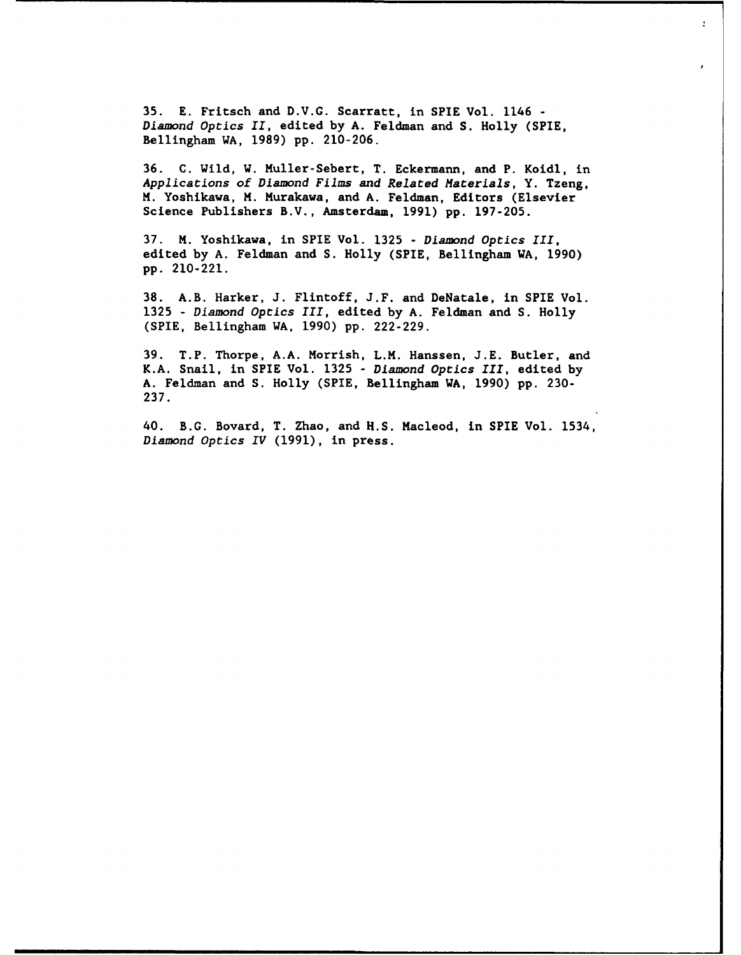35. E. Fritsch and D.V.G. Scarratt, in SPIE Vol. 1146 - Diamond Optics II, edited by A. Feldman and S. Holly (SPIE, Bellingham WA, 1989) pp. 210-206.

 $\overline{1}$ 

36. C. Wild, W. Muller-Sebert, T. Eckermann, and P. Koidl, in Applications of Diamond Films and Related Materials, Y. Tzeng, **M.** Yoshikawa, **M.** Murakawa, and **A.** Feldman, Editors (Elsevier Science Publishers B.V., Amsterdam, **1991) pp. 197-205.**

**37. M.** Yoshikawa, in SPIE Vol. **1325 -** Diamond Optics III, edited **by A.** Feldman and **S.** Holly (SPIE, Bellingham WA, **1990) pp.** 210-221.

**38.** A.B. Harker, **J.** Flintoff, **J.F.** and DeNatale, in SPIE Vol. **1325 -** Diamond Optics III, edited **by A.** Feldman and **S.** Holly (SPIE, Bellingham WA, **1990) pp. 222-229.**

**39.** T.P. Thorpe, **A.A.** Morrish, L.M. Hanssen, **J.E.** Butler, and K.A. Snail, in SPIE Vol. **1325 -** Diamond Optics III, edited **by A.** Feldman and **S.** Holly (SPIE, Bellingham WA, **1990) pp. 230- 237.**

40. B.G. Bovard, T. Zhao, and **H.S.** Macleod, in SPIE Vol. 1534, Diamond Optics IV (1991), in press.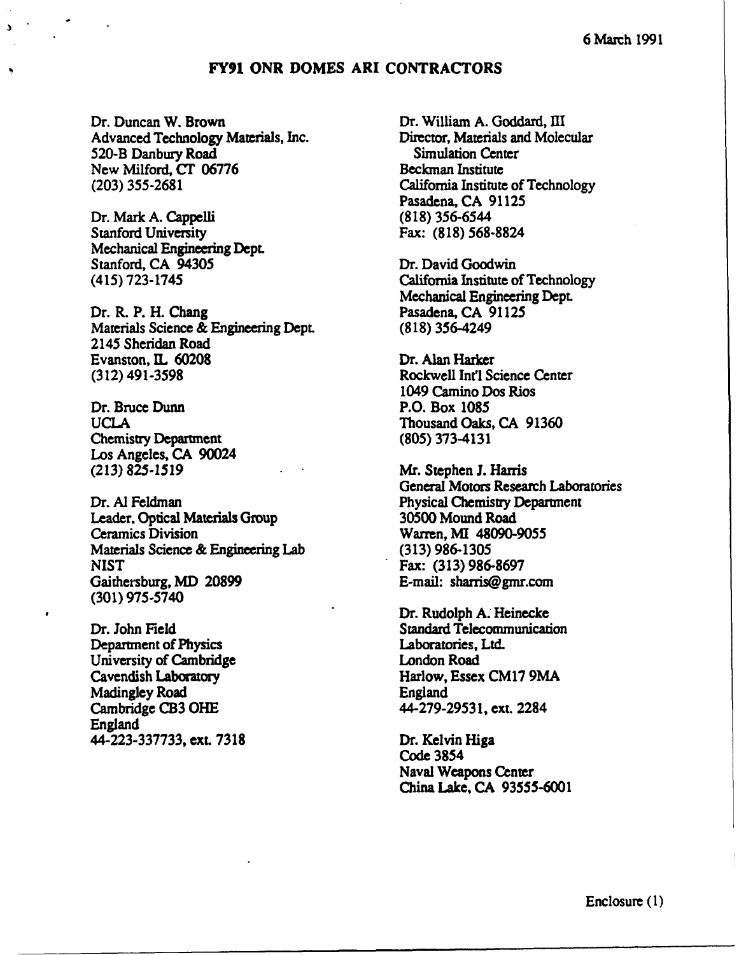## **FY91 ONR DOMES ARI CONTRACTORS**

Dr. Duncan W. Brown Dr. William A. Goddard, III<br>Advanced Technology Materials. Inc. Director. Materials and Molecular Advanced Technology Materials, Inc. Director, Materials and Simulation Center 520-B Danbury Road New Milford, **CT** 06776 **Beckman Institute (203)** 355-2681 California Institute of Technology

Dr. Mark **A.** Cappelli **(818)** 356-6544 Stanford University Fax: **(818) 568-8824** Mechanical Engineering Dept. Stanford, **CA** 94305 Dr. David Goodwin

Dr. R. P. H. Chang Pasadena, CA 91125 Materials Science **&** Engineering Dept. **(818)** 356-4249 2145 Sheridan Road Evanston, IL **60208** Dr. Alan Harker **(312) 491-3598** Rockwell Int'l Science Center

Dr. Bruce Dunn P.O. Box **1085** Chemistry Department **(805) 373-4131** Los Angeles, **CA** 90024

Leader. Optical Materials Group **30500** Mound Road Ceramics Division Warren, **MI 48090-9055** Materials Science **&** Engineering Lab **(313) 986-1305** NIST Fax: **(313) 986-8697** Gaithersburg, MD **20899** E-mail: sharris@gmr.com **(301) 975-5740**

Department of Physics Laboratories, Ltd. University of Cambridge London Road Madingley Road England Cambridge **CB3 OHE** 44-279-29531, ext. 2284 England **44-223-337733, ext. 7318** Dr. Kelvin Higa

Pasadena, **CA 91125**

(415) 723-1745 California Institute of Technology Mechanical Engineering **Dept.**

1049 Camino Dos Rios **UCLA** Thousand Oaks, **CA 91360**

**(213) 825-1519** Mr. Stephen **J.** Harris General Motors Research Laboratories Dr. Al Feldman Physical Chemistry Department

Dr. Rudolph A. Heinecke Dr. John Field Standard Telecommunication Cavendish Laboratory Harlow, Essex **CM17 9MA**

> Code 3854 Naval Weapons Center China Lake, CA 93555-6001

> > Enclosure **(1)**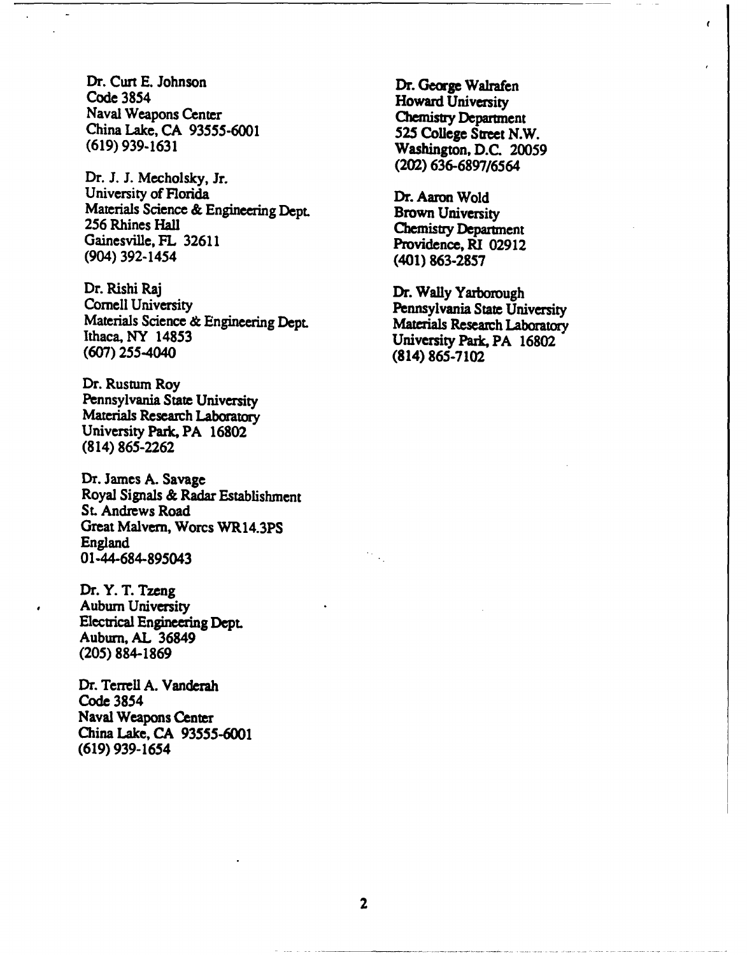Dr. Curt E. Johnson Dr. George Walrafen<br>
Code 3854 Howard Iniversity Code **3854** Howard University Naval Weapons Center **Chemisty Department China Lake, CA 93555-6001 525 College** Street N.W. **(619)** 939-1631 Washington, **D.C. 20059**

Dr. **J. J.** Mecholsky, Jr. University of Florida Dr. Aaron Wold Materials Science & Engineering Dept. **Brown University**<br>
256 Rhines Hall Chemistry Department<br>
Gainesville, FL 32611 **Providence, RI 02912** (904) 392-1454 (401) **863-2857**

Dr. Rishi Raj Dr. Wally Yarborough<br>
Cornell University<br>
Materials Science & Engineering Dept.<br>
Ithaca, NY 14853 University Park, PA 16802 **(607)** 255-4040 (814) 865-7102

Dr. Rustum Roy Pennsylvania State University Materials Research Laboratory University Park, PA **16802** (814) **865-2262**

Dr. James **A.** Savage Royal Signals **&** Radar Establishment **St.** Andrews Road Great Malvern, Worcs WR14.3PS England 01-44-684-895043

Dr. Y. T. Tzeng Auburn University Electrical Engineering **Dept.** Auburn, **AL** 36849 **(205) 884-1869**

Dr. Terrell **A.** Vanderah Code 3854 Naval Weapons Center China Lake, **CA 93555-6001 (619)** 939-1654

**(202)** 636-6897/6564

ł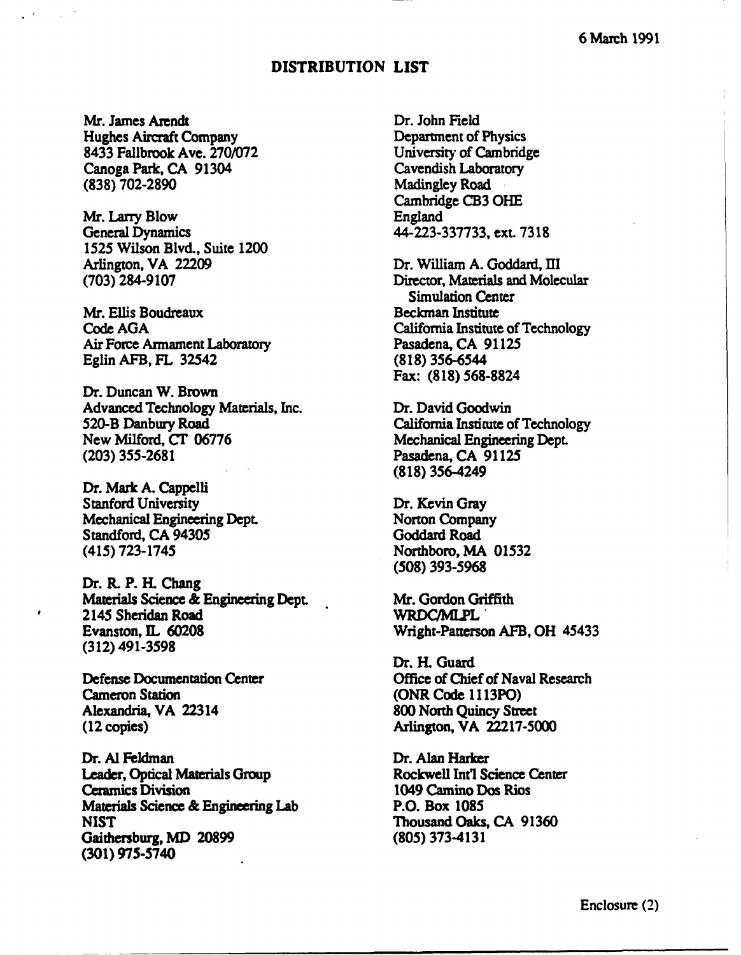## **DISTRIBUTION LIST**

Mr. James Arendt Dr. John Field<br>Hughes Aircraft Company Department of Physics Hughes Aircraft Company Department of Physics<br>
8433 Fallbrook Ave. 270/072 University of Cambridge **8433** Fallbrook Ave. **270/072** University of Cambridge Canoga Park, CA 91304<br>(838) 702-2890

Mr. Larry Blow<br>General Dynamics 1525 Wilson Blvd., Suite 1200 Arlington, VA 22209 **Dr. William A. Goddard, III**<br>
(703) 284-9107 **Director, Materials and Mole** 

Mr. Ellis Boudreaux Beckman Institute<br>
Code AGA California Institute **Air Force Armament Laboratory** Eglin AFB, FL 32542 **(818)** 356-6544

Dr. Duncan W. Brown Advanced Technology Materials, Inc. Dr. David Goodwin<br>520-B Danbury Road California Institute o 520-B Danbury Road California Institute of Technology<br>New Milford, CT 06776 Mechanical Engineering Dept. **(203)** 355-2681 Pasadena, **CA** 91125

Dr. Mark **A.** Cappelli Stanford University Dr. Kevin Gray Mechanical Engineering Dept.<br>
Standford, CA 94305<br>
Goddard Road Standford, CA 94305 (415) **723-1745** Northboro, MA **01532**

Dr. **R.** P. **H.** Chang Materials Science & Engineering Dept. Mr. Gordon Griffith<br>2145 Sheridan Road WRDCMLPL 2145 Sheridan Road<br>Evanston, IL 60208 **(312) 491-3598**

Cameron Station (ONR Code 1113PO)<br>Alexandria, VA 22314 800 North Quincy Stre (12 copies) Arlington, VA **22217-5000**

Dr. **Al** Feldman Dr. Alan Harker Leader, Optical Materials Group Rockwell Int'l Science Center<br>
Ceramics Division 1049 Camino Dos Rios Materials Science **&** Engineering Lab P.O. Box **1085 NIST** Thousand Oaks, CA **91360** Gaithersburg, MD **20899 (805) 373-4131 (301) 975-5740**

**Madingley Road** Cambridge **CB3 OHE** General Dynamics **44-223-337733,** ext. **7318**

**(703) 284-9107** Director, Materials and Molecular Simulation Center California Institute of Technology<br>Pasadena, CA 91125 Fax: **(818)** 568-8824

Mechanical Engineering Dept. **(818)** 356-4249

**(508) 393-5968**

Wright-Patterson AFB, OH 45433

Dr. H. Guard Defense Documentation Center **Office of Chief of Naval Research** 800 North Quincy Street

1049 Camino Dos Rios

Enclosure (2)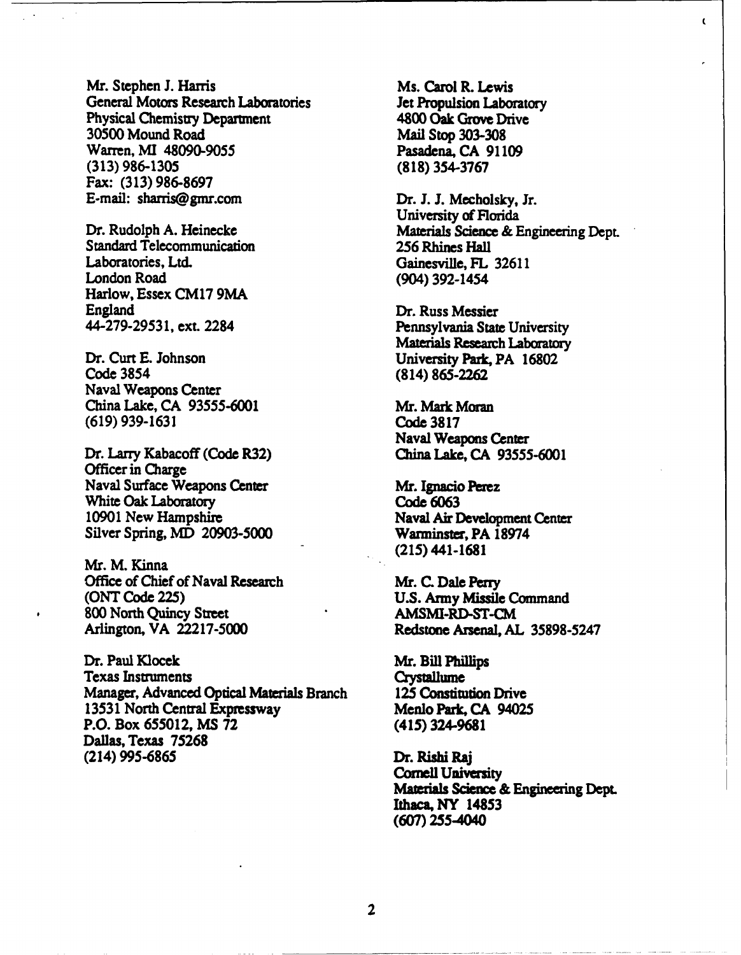Mr. Stephen J. Harris Ms. Carol R. Lewis General Motors Research Laboratories Jet Propulsion Laboratory Physical Chemistry Department 4800 Oak Grove Drive<br>30500 Mound Road Mail Stop 303-308 Warren, **MI 48090-9055** Pasadena, **CA 91109 (313) 986-1305 (818) 354-3767** Fax: **(313) 986-8697** E-mail: sharris@gmr.com Dr. **J. J.** Mecholsky, Jr.

Standard Telecommunication **256** Rhines Hall Laboratories, Ltd. Gainesville, FL 32611<br>
London Road (904) 392-1454 Harlow, Essex **CM17 9MA** England Dr. Russ Messier

Dr. Curt **E.** Johnson University Park, PA **16802** Naval Weapons Center China Lake, **CA 93555-6001 Mr.** Mark **Moran (619) 939-1631** Code **3817**

Officer in Charge Naval Surface Weapons Center Mr. Ignacio **Perez** White Oak Laboratory Code **6063** 10901 New Hampshire Naval Air Development Center Silver Spring, MD **20903-5000** Warminster, PA **18974**

Mr. M. Kinna Office of Chief of Naval Research Mr. **C.** Dale Perry **(ONT** Code **225) U.S.** Army **Missile** Command 800 North Quincy Street **AMSMI-RD-ST-CM**<br>Arlington, VA 22217-5000 Redstone Arsenal, AL

Dr. Paul Klocek Mr. Bill Phillips Texas Instruments Crystallume Manager, Advanced Optical Materials Branch **125** Constitution Drive **13531** North Central Expressway Menlo Park, CA 94025 P.O. Box **655012, MS 72** (415) **324-9681** Dallas, Texas **75268** (214) **995-6865** Dr. Rishi Raj

**30500** Mound Road Mail Stop **303-308**

University of Florida Dr. Rudolph A. Heinecke Materials Science & Engineering Dept. London Road (904) 392-1454

 $\mathbf{t}$ 

44-279-29531, ext. 2284 Pennsylvania State University Materials Research Laboratory Code 3854 (814) **865-2262**

Naval Weapons Center Dr. Larry Kabacoff (Code R32) China Lake, CA 93555-6001

(215)441-1681

Arlington, VA **22217-5000** Redstone Arsenal, **AL 35898-5247**

Cornell University Materials Science & Engineering Dept Ithaca, NY 14853 **(607)** 255-4040

2